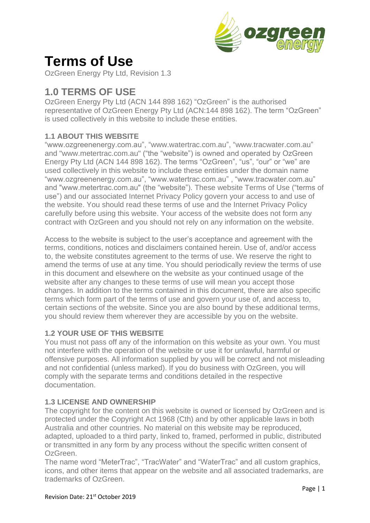

# **Terms of Use**

OzGreen Energy Pty Ltd, Revision 1.3

## **1.0 TERMS OF USE**

OzGreen Energy Pty Ltd (ACN 144 898 162) "OzGreen" is the authorised representative of OzGreen Energy Pty Ltd (ACN:144 898 162). The term "OzGreen" is used collectively in this website to include these entities.

### **1.1 ABOUT THIS WEBSITE**

"www.ozgreenenergy.com.au", "www.watertrac.com.au", "www.tracwater.com.au" and "www.metertrac.com.au" ("the "website") is owned and operated by OzGreen Energy Pty Ltd (ACN 144 898 162). The terms "OzGreen", "us", "our" or "we" are used collectively in this website to include these entities under the domain name "www.ozgreenenergy.com.au", "www.watertrac.com.au" , "www.tracwater.com.au" and "www.metertrac.com.au" (the "website"). These website Terms of Use ("terms of use") and our associated Internet Privacy Policy govern your access to and use of the website. You should read these terms of use and the Internet Privacy Policy carefully before using this website. Your access of the website does not form any contract with OzGreen and you should not rely on any information on the website.

Access to the website is subject to the user's acceptance and agreement with the terms, conditions, notices and disclaimers contained herein. Use of, and/or access to, the website constitutes agreement to the terms of use. We reserve the right to amend the terms of use at any time. You should periodically review the terms of use in this document and elsewhere on the website as your continued usage of the website after any changes to these terms of use will mean you accept those changes. In addition to the terms contained in this document, there are also specific terms which form part of the terms of use and govern your use of, and access to, certain sections of the website. Since you are also bound by these additional terms, you should review them wherever they are accessible by you on the website.

#### **1.2 YOUR USE OF THIS WEBSITE**

You must not pass off any of the information on this website as your own. You must not interfere with the operation of the website or use it for unlawful, harmful or offensive purposes. All information supplied by you will be correct and not misleading and not confidential (unless marked). If you do business with OzGreen, you will comply with the separate terms and conditions detailed in the respective documentation.

#### **1.3 LICENSE AND OWNERSHIP**

The copyright for the content on this website is owned or licensed by OzGreen and is protected under the Copyright Act 1968 (Cth) and by other applicable laws in both Australia and other countries. No material on this website may be reproduced, adapted, uploaded to a third party, linked to, framed, performed in public, distributed or transmitted in any form by any process without the specific written consent of OzGreen.

The name word "MeterTrac", "TracWater" and "WaterTrac" and all custom graphics, icons, and other items that appear on the website and all associated trademarks, are trademarks of OzGreen.